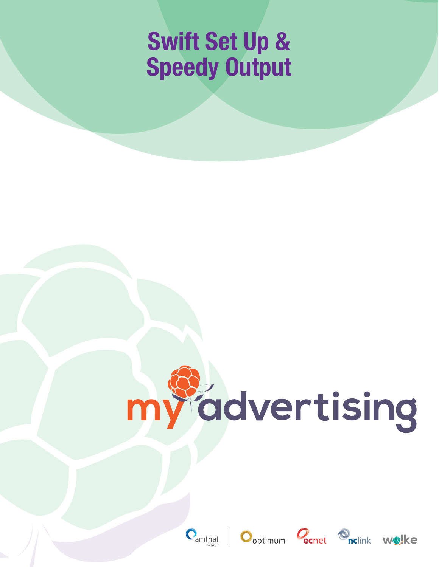# **Swift Set Up & Speedy Output**

# myddvertising







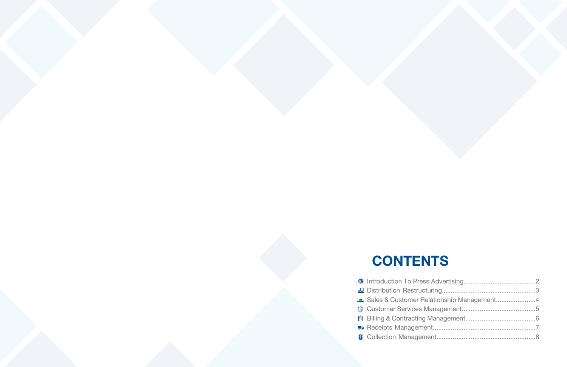- **CONTENTS**
- **A** Introduction To Press
- Distribution Restri
- **E** Sales & Customer
- **B** Customer Service
- **图 Billing & Contracti**
- **Receipts Manager**
- **B** Collection Manage

| r Relationship Management4 |  |
|----------------------------|--|
|                            |  |
|                            |  |
|                            |  |
|                            |  |
|                            |  |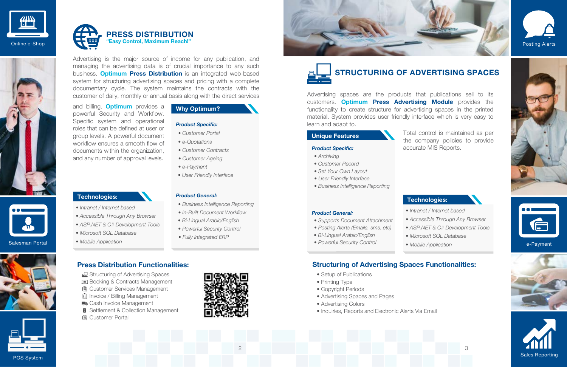#### **Technologies:**

- *Intranet / Internet based*
- *Accessible Through Any Browser*
- *ASP.NET & C# Development Tools*
- *Microsoft SQL Database*
- *Mobile Application*

# **Why Optimum?**



2







Advertising is the major source of income for any publication, and managing the advertising data is of crucial importance to any such business. **Optimum Press Distribution** is an integrated web-based system for structuring advertising spaces and pricing with a complete documentary cycle. The system maintains the contracts with the customer of daily, monthly or annual basis along with the direct services

and billing. **Optimum** provides a powerful Security and Workflow. Specific system and operational roles that can be defined at user or group levels. A powerful document workflow ensures a smooth flow of documents within the organization, and any number of approval levels.

### **Press Distribution Functionalities:**

- Structuring of Advertising Spaces
- **Booking & Contracts Management**
- **B** Customer Services Management
- **同** Invoice / Billing Management
- Cash Invoice Management
- **B** Settlement & Collection Management
- **B** Customer Portal





#### *Product Specific:*

#### *Product General:*

- *Customer Portal*
- *e-Quotations*
- *Customer Contracts*
- *Customer Ageing*
- *e-Payment*
- *User Friendly Interface*

- *Business Intelligence Reporting*
- *In-Built Document Workflow*
- *Bi-Lingual Arabic/English*
- *Powerful Security Control*
- *Fully Integrated ERP*

Salesman Portal



#### **Unique Features**

#### **Technologies:**

*• Intranet / Internet based • Accessible Through Any Browser • ASP.NET & C# Development Tools • Microsoft SQL Database • Mobile Application*

Advertising spaces are the products that publications sell to its customers. **Optimum Press Advertising Module** provides the functionality to create structure for advertising spaces in the printed material. System provides user friendly interface which is very easy to learn and adapt to.

> Total control is maintained as per the company policies to provide accurate MIS Reports.





# **Structuring of Advertising Spaces Functionalities:**

#### *Product Specific:*

- *Archiving*
- *Customer Record*
- *Set Your Own Layout*
- *User Friendly Interface*
- *Business Intelligence Reporting*

- *Supports Document Attachment*
- *Posting Alerts (Emails, sms..etc)*
- *Bi-Lingual Arabic/English*
- *Powerful Security Control*
- 









- Setup of Publications
- Printing Type
- Copyright Periods
- Advertising Spaces and Pages
- Advertising Colors
- Inquiries, Reports and Electronic Alerts Via Email

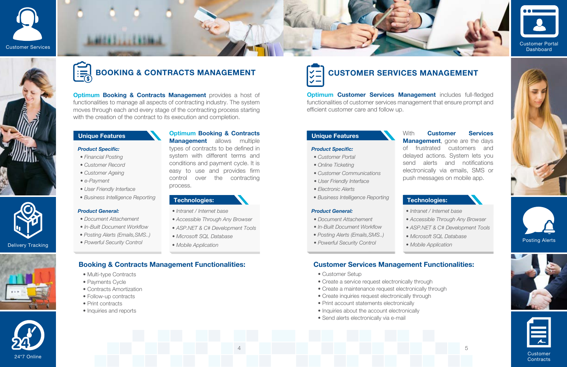4

Delivery Tracking

# 24\*7 Online

#### **Unique Features**

#### **Technologies:**

- *Intranet / Internet base*
- *Accessible Through Any Browser*
- *ASP.NET & C# Development Tools*
- *Microsoft SQL Database*
- *Mobile Application*







**Optimum Booking & Contracts Management** provides a host of functionalities to manage all aspects of contracting industry. The system moves through each and every stage of the contracting process starting with the creation of the contract to its execution and completion.

> **Optimum Booking & Contracts Management** allows multiple

- Multi-type Contracts
- Payments Cycle
- Contracts Amortization
- Follow-up contracts
- Print contracts
- Inquiries and reports

types of contracts to be defined in system with different terms and conditions and payment cycle. It is easy to use and provides firm control over the contracting process.

> Customer **Contracts**

# **BOOKING & CONTRACTS MANAGEMENT**

#### *Product Specific:*

#### *Product General:*

- *Financial Posting*
- *Customer Record*
- *Customer Ageing*
- *e-Payment*
- *User Friendly Interface*
- *Business Intelligence Reporting*

**Optimum Customer Services Management** includes full-fledged functionalities of customer services management that ensure prompt and efficient customer care and follow up.

- *Document Attachement*
- *In-Built Document Workflow*
- *Posting Alerts (Emails,SMS..)*
- *Powerful Security Control*

# **Booking & Contracts Management Functionalities:**

*• Intranet / Internet base • Accessible Through Any Browser • ASP.NET & C# Development Tools • Microsoft SQL Database • Mobile Application*

### **Unique Features Unique Features**

#### **Technologies: Technologies:**













With **Customer Services Management**, gone are the days of frustrated customers and delayed actions. System lets you send alerts and notifications electronically via emails, SMS or push messages on mobile app.

# **CUSTOMER SERVICES MANAGEMENT**

# **Customer Services Management Functionalities:**

- Customer Setup
- Create a service request electronically through
- Create a maintenance request electronically through
- Create inquiries request electronically through
- Print account statements electronically
- Inquiries about the account electronically
- Send alerts electronically via e-mail

#### *Product Specific:*

- *Customer Portal*
- *Online Ticketing*
- *Customer Communications*
- *User Friendly Interface*
- *Electronic Alerts*
- *Business Intelligence Reporting*

- *Document Attachement*
- *In-Built Document Workflow*
- *Posting Alerts (Emails,SMS..)*
- *Powerful Security Control*
-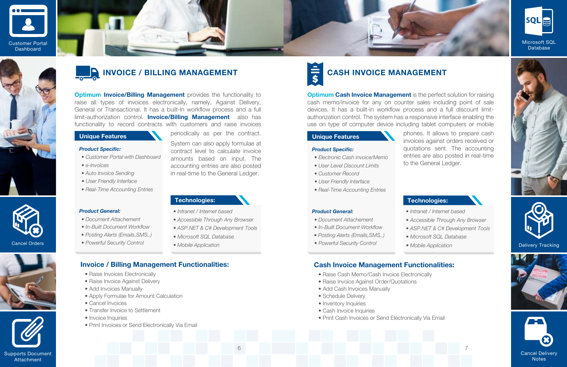6

Cancel Orders



#### **Unique Features**

#### **Technologies:**

- *Intranet / Internet based*
- *Accessible Through Any Browser*
- *ASP.NET & C# Development Tools*
- *Microsoft SQL Database*
- *Mobile Application*

**Optimum Invoice/Billing Management** provides the functionality to raise all types of invoices electronically, namely, Against Delivery, General or Transactional. It has a built-in workflow process and a full limit-authorization control. **Invoice/Billing Management** also has functionality to record contracts with customers and raise invoices

periodically as per the contract.

System can also apply formulae at contract level to calculate invoice amounts based on input. The accounting entries are also posted in real-time to the General Ledger.

- Raise Invoices Electronically
- Raise Invoice Against Delivery
- Add Invoices Manually
- Apply Formulae for Amount Calculation
- Cancel Invoices
- Transfer Invoice to Settlement
- Invoice Inquiries
- Print Invoices or Send Electronically Via Email

*• Intranet / Internet based • Accessible Through Any Browser • ASP.NET & C# Development Tools • Microsoft SQL Database • Mobile Application* • Powerful Security Control **• Mobile Application Delivery Tracking** 

# **INVOICE / BILLING MANAGEMENT**

#### *Product Specific:*

- *Customer Portal with Dashboard*
- *e-Invoices*
- *Auto Invoice Sending*
- *User Friendly Interface*

*• Real-Time Accounting Entries*

*Product General:*

*• Document Attachement • In-Built Document Workflow • Posting Alerts (Emails,SMS..) • Powerful Security Control*

### **Invoice / Billing Management Functionalities:**



















### **Technologies:**

**Unique Features Optimum Cash Invoice Management** is the perfect solution for raising cash memo/invoice for any on counter sales including point of sale devices. It has a built-in workflow process and a full discount limitauthorization control. The system has a responsive interface enabling the use on type of computer device including tablet computers or mobile phones. It allows to prepare cash invoices against orders received or quotations sent. The accounting entries are also posted in real-time to the General Ledger. *Product Specific: • Electronic Cash invoice/Memo*

# **CASH INVOICE MANAGEMENT**

### **Cash Invoice Management Functionalities:**

- Raise Cash Memo/Cash Invoice Electronically
- Raise Invoice Against Order/Quotations
- Add Cash Invoices Manually
- Schedule Delivery
- Inventory Inquiries
- Cash Invoice Inquiries
- Print Cash Invoices or Send Electronically Via Email
- 
- *User Level Discount Limits*
- *Customer Record*
- *User Friendly Interface*
- *Real-Time Accounting Entries*

- *Document Attachement*
- *In-Built Document Workflow*
- *Posting Alerts (Emails,SMS..)*
- 
-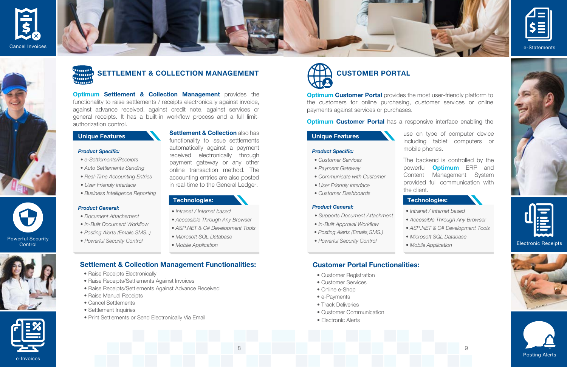8





e-Invoices



**Control** 





waan **SETTLEMENT & COLLECTION MANAGEMENT** 'umn!! maan! umu!

### **Unique Features**

#### **Technologies:**

- *Intranet / Internet based*
- *Accessible Through Any Browser*
- *ASP.NET & C# Development Tools*
- *Microsoft SQL Database*
- *Mobile Application*

**Optimum Settlement & Collection Management** provides the functionality to raise settlements / receipts electronically against invoice, against advance received, against credit note, against services or general receipts. It has a built-in workflow process and a full limitauthorization control.

> **Settlement & Collection** also has functionality to issue settlements automatically against a payment received electronically through payment gateway or any other online transaction method. The accounting entries are also posted in real-time to the General Ledger.

- Raise Receipts Electronically
- Raise Receipts/Settlements Against Invoices
- Raise Receipts/Settlements Against Advance Received
- Raise Manual Receipts
- Cancel Settlements
- Settlement Inquiries
- Print Settlements or Send Electronically Via Email

# **Settlement & Collection Management Functionalities:**

**Optimum Customer Portal** provides the most user-friendly platform to the customers for online purchasing, customer services or online payments against services or purchases.

#### **Optimum Customer Portal** has a responsive interface enabling the

#### *Product Specific:*

- *e-Settlements/Receipts*
- *Auto Settlements Sending*
- *Real-Time Accounting Entries*
- *User Friendly Interface*
- *Business Intelligence Reporting*

#### *Product General:*

- *Document Attachement*
- *In-Built Document Workflow*
- *Posting Alerts (Emails,SMS..)*
- *Powerful Security Control*

#### Electronic Receipts







#### **Unique Features**

#### **Technologies:**

*• Intranet / Internet based • Accessible Through Any Browser • ASP.NET & C# Development Tools • Microsoft SQL Database • Mobile Application*

 $\overline{Q}$ 

# **CUSTOMER PORTAL**

use on type of computer device including tablet computers or mobile phones.

The backend is controlled by the powerful **Optimum** ERP and Content Management System provided full communication with the client.

# **Customer Portal Functionalities:**

#### *Product Specific:*

- *Customer Services*
- *Payment Gateway*
- *Communicate with Customer*
- *User Friendly Interface*
- *Customer Dashboards*

- Customer Registration
- Customer Services
- Online e-Shop
- e-Payments
- Track Deliveries
- Customer Communication
- Electronic Alerts
- *Supports Document Attachment*
- *In-Built Approval Workflow*
- *Posting Alerts (Emails,SMS.)*
- *Powerful Security Control*
-